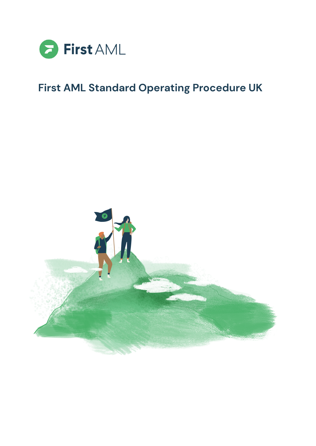

# **First AML Standard Operating Procedure UK**

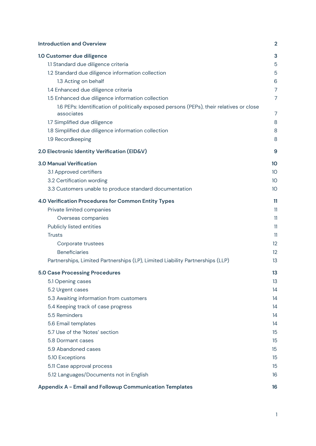| <b>Introduction and Overview</b>                                                                       | $\overline{2}$  |
|--------------------------------------------------------------------------------------------------------|-----------------|
| 1.0 Customer due diligence                                                                             | 3               |
| 1.1 Standard due diligence criteria                                                                    | 5               |
| 1.2 Standard due diligence information collection                                                      | 5               |
| 1.3 Acting on behalf                                                                                   | 6               |
| 1.4 Enhanced due diligence criteria                                                                    | $\overline{7}$  |
| 1.5 Enhanced due diligence information collection                                                      | 7               |
| 1.6 PEPs: Identification of politically exposed persons (PEPs), their relatives or close<br>associates | 7               |
| 1.7 Simplified due diligence                                                                           | 8               |
| 1.8 Simplified due diligence information collection                                                    | 8               |
| 1.9 Recordkeeping                                                                                      | 8               |
| 2.0 Electronic Identity Verification (EID&V)                                                           | 9               |
| <b>3.0 Manual Verification</b>                                                                         | 10              |
| 3.1 Approved certifiers                                                                                | 10              |
| 3.2 Certification wording                                                                              | 10 <sup>°</sup> |
| 3.3 Customers unable to produce standard documentation                                                 | 10 <sup>°</sup> |
| 4.0 Verification Procedures for Common Entity Types                                                    | 11              |
| Private limited companies                                                                              | 11              |
| Overseas companies                                                                                     | 11              |
| Publicly listed entities                                                                               | 11              |
| <b>Trusts</b>                                                                                          | 11              |
| Corporate trustees                                                                                     | 12              |
| <b>Beneficiaries</b>                                                                                   | 12              |
| Partnerships, Limited Partnerships (LP), Limited Liability Partnerships (LLP)                          | 13              |
| <b>5.0 Case Processing Procedures</b>                                                                  | 13              |
| 5.1 Opening cases                                                                                      | 13              |
| 5.2 Urgent cases                                                                                       | 14              |
| 5.3 Awaiting information from customers                                                                | 14              |
| 5.4 Keeping track of case progress                                                                     | 14              |
| 5.5 Reminders                                                                                          | 14              |
| 5.6 Email templates                                                                                    | 14              |
| 5.7 Use of the 'Notes' section                                                                         | 15              |
| 5.8 Dormant cases                                                                                      | 15              |
| 5.9 Abandoned cases                                                                                    | 15              |
| 5.10 Exceptions                                                                                        | 15              |
| 5.11 Case approval process                                                                             | 15              |
| 5.12 Languages/Documents not in English                                                                | 16              |
| <b>Appendix A - Email and Followup Communication Templates</b>                                         | 16              |

1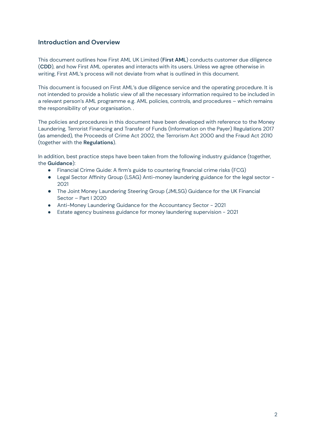## <span id="page-2-0"></span>**Introduction and Overview**

This document outlines how First AML UK Limited (**First AML**) conducts customer due diligence (**CDD**), and how First AML operates and interacts with its users. Unless we agree otherwise in writing, First AML's process will not deviate from what is outlined in this document.

This document is focused on First AML's due diligence service and the operating procedure. It is not intended to provide a holistic view of all the necessary information required to be included in a relevant person's AML programme e.g. AML policies, controls, and procedures – which remains the responsibility of your organisation. .

The policies and procedures in this document have been developed with reference to the Money Laundering, Terrorist Financing and Transfer of Funds (Information on the Payer) Regulations 2017 (as amended), the Proceeds of Crime Act 2002, the Terrorism Act 2000 and the Fraud Act 2010 (together with the **Regulations**).

In addition, best practice steps have been taken from the following industry guidance (together, the **Guidance**):

- Financial Crime Guide: A firm's guide to countering financial crime risks (FCG)
- Legal Sector Affinity Group (LSAG) Anti-money laundering guidance for the legal sector -2021
- The Joint Money Laundering Steering Group (JMLSG) Guidance for the UK Financial Sector – Part I 2020
- Anti-Money Laundering Guidance for the Accountancy Sector 2021
- Estate agency business guidance for money laundering supervision 2021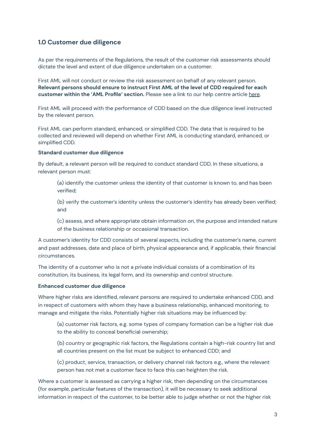# <span id="page-3-0"></span>**1.0 Customer due diligence**

As per the requirements of the Regulations, the result of the customer risk assessments should dictate the level and extent of due diligence undertaken on a customer.

First AML will not conduct or review the risk assessment on behalf of any relevant person. **Relevant persons should ensure to instruct First AML of the level of CDD required for each customer within the 'AML Profile' section.** Please see a link to our help centre article [here](https://support.firstaml.com/support/solutions/articles/69000259916-aml-profile-and-how-to-update-it-).

First AML will proceed with the performance of CDD based on the due diligence level instructed by the relevant person.

First AML can perform standard, enhanced, or simplified CDD. The data that is required to be collected and reviewed will depend on whether First AML is conducting standard, enhanced, or simplified CDD.

#### **Standard customer due diligence**

By default, a relevant person will be required to conduct standard CDD. In these situations, a relevant person must:

(a) identify the customer unless the identity of that customer is known to, and has been verified;

(b) verify the customer's identity unless the customer's identity has already been verified; and

(c) assess, and where appropriate obtain information on, the purpose and intended nature of the business relationship or occasional transaction.

A customer's identity for CDD consists of several aspects, including the customer's name, current and past addresses, date and place of birth, physical appearance and, if applicable, their financial circumstances.

The identity of a customer who is not a private individual consists of a combination of its constitution, its business, its legal form, and its ownership and control structure.

## **Enhanced customer due diligence**

Where higher risks are identified, relevant persons are required to undertake enhanced CDD, and in respect of customers with whom they have a business relationship, enhanced monitoring, to manage and mitigate the risks. Potentially higher risk situations may be influenced by:

(a) customer risk factors, e.g. some types of company formation can be a higher risk due to the ability to conceal beneficial ownership;

(b) country or geographic risk factors, the Regulations contain a high-risk country list and all countries present on the list must be subject to enhanced CDD; and

(c) product, service, transaction, or delivery channel risk factors e.g., where the relevant person has not met a customer face to face this can heighten the risk.

Where a customer is assessed as carrying a higher risk, then depending on the circumstances (for example, particular features of the transaction), it will be necessary to seek additional information in respect of the customer, to be better able to judge whether or not the higher risk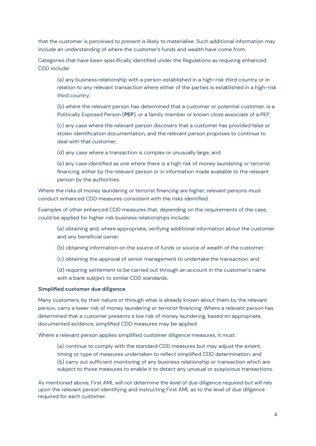that the customer is perceived to present is likely to materialise. Such additional information may include an understanding of where the customer's funds and wealth have come from.

Categories that have been specifically identified under the Regulations as requiring enhanced CDD include:

(a) any business relationship with a person established in a high-risk third country or in relation to any relevant transaction where either of the parties is established in a high-risk third country;

(b) where the relevant person has determined that a customer or potential customer, is a Politically Exposed Person (**PEP**), or a family member or known close associate of a PEP;

(c) any case where the relevant person discovers that a customer has provided false or stolen identification documentation, and the relevant person proposes to continue to deal with that customer;

(d) any case where a transaction is complex or unusually large; and

(e) any case identified as one where there is a high risk of money laundering or terrorist financing, either by the relevant person or in information made available to the relevant person by the authorities.

Where the risks of money laundering or terrorist financing are higher, relevant persons must conduct enhanced CDD measures consistent with the risks identified.

Examples of other enhanced CDD measures that, depending on the requirements of the case, could be applied for higher risk business relationships include:

(a) obtaining and, where appropriate, verifying additional information about the customer and any beneficial owner;

(b) obtaining information on the source of funds or source of wealth of the customer;

(c) obtaining the approval of senior management to undertake the transaction, and

(d) requiring settlement to be carried out through an account in the customer's name with a bank subject to similar CDD standards.

## **Simplified customer due diligence**

Many customers, by their nature or through what is already known about them by the relevant person, carry a lower risk of money laundering or terrorist financing. Where a relevant person has determined that a customer presents a low risk of money laundering, based on appropriate, documented evidence, simplified CDD measures may be applied.

Where a relevant person applies simplified customer diligence measures, it must:

(a) continue to comply with the standard CDD measures but may adjust the extent, timing or type of measures undertaken to reflect simplified CDD determination; and (b) carry out sufficient monitoring of any business relationship or transaction which are subject to those measures to enable it to detect any unusual or suspicious transactions.

As mentioned above, First AML will not determine the level of due diligence required but will rely upon the relevant person identifying and instructing First AML as to the level of due diligence required for each customer.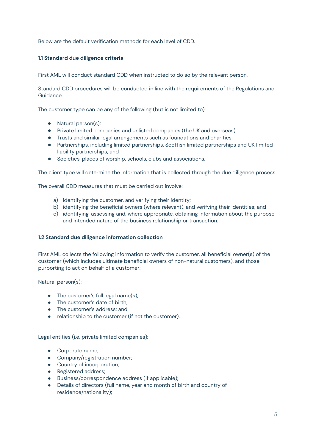<span id="page-5-0"></span>Below are the default verification methods for each level of CDD.

## **1.1 Standard due diligence criteria**

First AML will conduct standard CDD when instructed to do so by the relevant person.

Standard CDD procedures will be conducted in line with the requirements of the Regulations and Guidance.

The customer type can be any of the following (but is not limited to):

- Natural person(s);
- Private limited companies and unlisted companies (the UK and overseas);
- Trusts and similar legal arrangements such as foundations and charities;
- Partnerships, including limited partnerships, Scottish limited partnerships and UK limited liability partnerships; and
- Societies, places of worship, schools, clubs and associations.

The client type will determine the information that is collected through the due diligence process.

The overall CDD measures that must be carried out involve:

- a) identifying the customer, and verifying their identity;
- b) identifying the beneficial owners (where relevant), and verifying their identities; and
- c) identifying, assessing and, where appropriate, obtaining information about the purpose and intended nature of the business relationship or transaction.

## <span id="page-5-1"></span>**1.2 Standard due diligence information collection**

First AML collects the following information to verify the customer, all beneficial owner(s) of the customer (which includes ultimate beneficial owners of non-natural customers), and those purporting to act on behalf of a customer:

Natural person(s):

- $\bullet$  The customer's full legal name(s);
- The customer's date of birth;
- The customer's address; and
- relationship to the customer (if not the customer).

Legal entities (i.e. private limited companies):

- Corporate name;
- Company/registration number;
- Country of incorporation;
- Registered address;
- Business/correspondence address (if applicable);
- Details of directors (full name, year and month of birth and country of residence/nationality);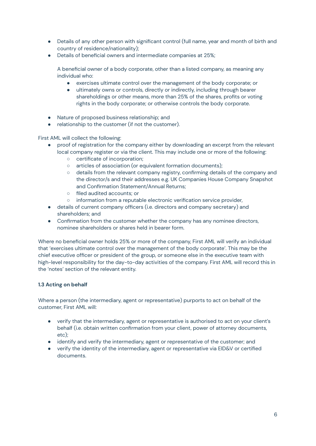- Details of any other person with significant control (full name, year and month of birth and country of residence/nationality);
- Details of beneficial owners and intermediate companies at 25%;

A beneficial owner of a body corporate, other than a listed company, as meaning any individual who:

- exercises ultimate control over the management of the body corporate; or
- ultimately owns or controls, directly or indirectly, including through bearer shareholdings or other means, more than 25% of the shares, profits or voting rights in the body corporate; or otherwise controls the body corporate.
- Nature of proposed business relationship; and
- relationship to the customer (if not the customer).

First AML will collect the following:

- proof of registration for the company either by downloading an excerpt from the relevant local company register or via the client. This may include one or more of the following:
	- certificate of incorporation;
	- articles of association (or equivalent formation documents);
	- details from the relevant company registry, confirming details of the company and the director/s and their addresses e.g. UK Companies House Company Snapshot and Confirmation Statement/Annual Returns;
	- filed audited accounts; or
	- information from a reputable electronic verification service provider,
- details of current company officers (i.e. directors and company secretary) and shareholders; and
- Confirmation from the customer whether the company has any nominee directors, nominee shareholders or shares held in bearer form.

Where no beneficial owner holds 25% or more of the company, First AML will verify an individual that 'exercises ultimate control over the management of the body corporate'. This may be the chief executive officer or president of the group, or someone else in the executive team with high-level responsibility for the day-to-day activities of the company. First AML will record this in the 'notes' section of the relevant entity.

## <span id="page-6-0"></span>**1.3 Acting on behalf**

Where a person (the intermediary, agent or representative) purports to act on behalf of the customer, First AML will:

- verify that the intermediary, agent or representative is authorised to act on your client's behalf (i.e. obtain written confirmation from your client, power of attorney documents, etc);
- identify and verify the intermediary, agent or representative of the customer; and
- verify the identity of the intermediary, agent or representative via EID&V or certified documents.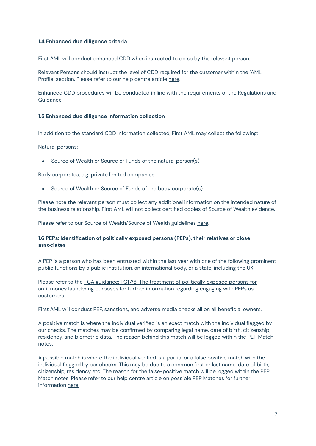## <span id="page-7-0"></span>**1.4 Enhanced due diligence criteria**

First AML will conduct enhanced CDD when instructed to do so by the relevant person.

Relevant Persons should instruct the level of CDD required for the customer within the 'AML Profile' section. Please refer to our help centre article [here](https://support.firstaml.com/support/solutions/articles/69000259916-aml-profile-and-how-to-update-it-).

Enhanced CDD procedures will be conducted in line with the requirements of the Regulations and Guidance.

## <span id="page-7-1"></span>**1.5 Enhanced due diligence information collection**

In addition to the standard CDD information collected, First AML may collect the following:

Natural persons:

**●** Source of Wealth or Source of Funds of the natural person(s)

Body corporates, e.g. private limited companies:

Source of Wealth or Source of Funds of the body corporate(s)

Please note the relevant person must collect any additional information on the intended nature of the business relationship. First AML will not collect certified copies of Source of Wealth evidence.

Please refer to our Source of Wealth/Source of Wealth guidelines [here.](https://drive.google.com/file/d/1BRrGYiqq9SxmA6xJfQLrUBu346I1h7Zx/view?usp=sharing)

## <span id="page-7-2"></span>**1.6 PEPs: Identification of politically exposed persons (PEPs), their relatives or close associates**

A PEP is a person who has been entrusted within the last year with one of the following prominent public functions by a public institution, an international body, or a state, including the UK.

Please refer to the FCA guidance: FG17/6: The [treatment](https://www.fca.org.uk/publication/finalised-guidance/fg17-06.pdf) of politically exposed persons for [anti-money](https://www.fca.org.uk/publication/finalised-guidance/fg17-06.pdf) laundering purposes for further information regarding engaging with PEPs as customers.

First AML will conduct PEP, sanctions, and adverse media checks all on all beneficial owners.

A positive match is where the individual verified is an exact match with the individual flagged by our checks. The matches may be confirmed by comparing legal name, date of birth, citizenship, residency, and biometric data. The reason behind this match will be logged within the PEP Match notes.

A possible match is where the individual verified is a partial or a false positive match with the individual flagged by our checks. This may be due to a common first or last name, date of birth, citizenship, residency etc. The reason for the false-positive match will be logged within the PEP Match notes. Please refer to our help centre article on possible PEP Matches for further information [here](https://support.firstaml.com/support/solutions/articles/69000800677-pep-possible-match-feature).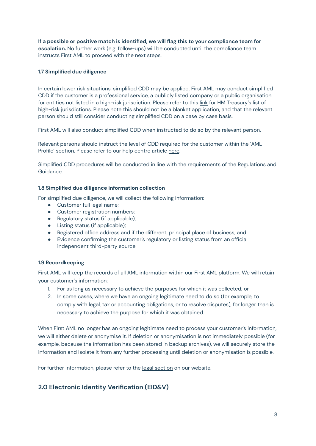**If a possible or positive match is identified, we will flag this to your compliance team for escalation.** No further work (e.g. follow-ups) will be conducted until the compliance team instructs First AML to proceed with the next steps.

## <span id="page-8-0"></span>**1.7 Simplified due diligence**

In certain lower risk situations, simplified CDD may be applied. First AML may conduct simplified CDD if the customer is a professional service, a publicly listed company or a public organisation for entities not listed in a high-risk jurisdiction. Please refer to this [link](https://www.gov.uk/government/publications/money-laundering-advisory-notice-high-risk-third-countries--2/hm-treasury-advisory-notice-high-risk-third-countries) for HM Treasury's list of high-risk jurisdictions. Please note this should not be a blanket application, and that the relevant person should still consider conducting simplified CDD on a case by case basis.

First AML will also conduct simplified CDD when instructed to do so by the relevant person.

Relevant persons should instruct the level of CDD required for the customer within the 'AML Profile' section. Please refer to our help centre article [here](https://support.firstaml.com/support/solutions/articles/69000259916-aml-profile-and-how-to-update-it-).

Simplified CDD procedures will be conducted in line with the requirements of the Regulations and Guidance.

## <span id="page-8-1"></span>**1.8 Simplified due diligence information collection**

For simplified due diligence, we will collect the following information:

- Customer full legal name;
- Customer registration numbers;
- Regulatory status (if applicable);
- Listing status (if applicable);
- Registered office address and if the different, principal place of business; and
- Evidence confirming the customer's regulatory or listing status from an official independent third-party source.

## <span id="page-8-2"></span>**1.9 Recordkeeping**

First AML will keep the records of all AML information within our First AML platform. We will retain your customer's information:

- 1. For as long as necessary to achieve the purposes for which it was collected; or
- 2. In some cases, where we have an ongoing legitimate need to do so (for example, to comply with legal, tax or accounting obligations, or to resolve disputes), for longer than is necessary to achieve the purpose for which it was obtained.

When First AML no longer has an ongoing legitimate need to process your customer's information, we will either delete or anonymise it. If deletion or anonymisation is not immediately possible (for example, because the information has been stored in backup archives), we will securely store the information and isolate it from any further processing until deletion or anonymisation is possible.

<span id="page-8-3"></span>For further information, please refer to the legal [section](https://www.firstaml.com/uk/legal/) on our website.

# **2.0 Electronic Identity Verification (EID&V)**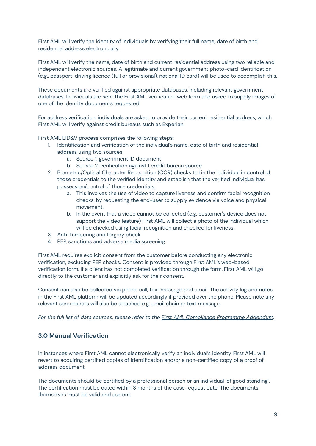First AML will verify the identity of individuals by verifying their full name, date of birth and residential address electronically.

First AML will verify the name, date of birth and current residential address using two reliable and independent electronic sources. A legitimate and current government photo-card identification (e.g., passport, driving licence (full or provisional), national ID card) will be used to accomplish this.

These documents are verified against appropriate databases, including relevant government databases. Individuals are sent the First AML verification web form and asked to supply images of one of the identity documents requested.

For address verification, individuals are asked to provide their current residential address, which First AML will verify against credit bureaus such as Experian.

First AML EID&V process comprises the following steps:

- 1. Identification and verification of the individual's name, date of birth and residential address using two sources.
	- a. Source 1: government ID document
	- b. Source 2: verification against 1 credit bureau source
- 2. Biometric/Optical Character Recognition (OCR) checks to tie the individual in control of those credentials to the verified identity and establish that the verified individual has possession/control of those credentials.
	- a. This involves the use of video to capture liveness and confirm facial recognition checks, by requesting the end-user to supply evidence via voice and physical movement.
	- b. In the event that a video cannot be collected (e.g. customer's device does not support the video feature) First AML will collect a photo of the individual which will be checked using facial recognition and checked for liveness.
- 3. Anti-tampering and forgery check
- 4. PEP, sanctions and adverse media screening

First AML requires explicit consent from the customer before conducting any electronic verification, excluding PEP checks. Consent is provided through First AML's web-based verification form. If a client has not completed verification through the form, First AML will go directly to the customer and explicitly ask for their consent.

Consent can also be collected via phone call, text message and email. The activity log and notes in the First AML platform will be updated accordingly if provided over the phone. Please note any relevant screenshots will also be attached e.g. email chain or text message.

<span id="page-9-0"></span>*For the full list of data sources, please refer to the First AML [Compliance](https://docs.google.com/document/d/13JHFZEAiOQ0jHs2uyhJhObPX9mjPtZu2/edit?usp=sharing&ouid=112703172298147206496&rtpof=true&sd=true) Programme Addendum.*

# **3.0 Manual Verification**

In instances where First AML cannot electronically verify an individual's identity, First AML will revert to acquiring certified copies of identification and/or a non-certified copy of a proof of address document.

The documents should be certified by a professional person or an individual 'of good standing'. The certification must be dated within 3 months of the case request date. The documents themselves must be valid and current.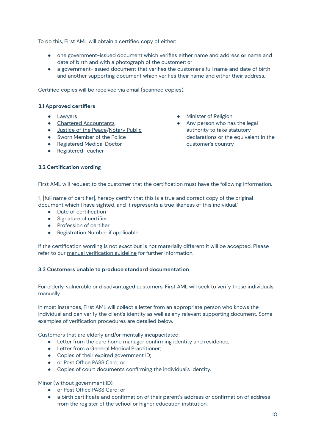To do this, First AML will obtain a certified copy of either:

- one government-issued document which verifies either name and address **or** name and date of birth and with a photograph of the customer; or
- a government-issued document that verifies the customer's full name and date of birth and another supporting document which verifies their name and either their address.

<span id="page-10-0"></span>Certified copies will be received via email (scanned copies).

## **3.1 Approved certifiers**

- [Lawyers](https://solicitors.lawsociety.org.uk/?Pro=True)
- Chartered [Accountants](https://find.icaew.com/)
- [Justice](https://www.judiciary.uk/about-the-judiciary/who-are-the-judiciary/judicial-roles/list-of-members-of-the-judiciary/) of the Peace[/Notary](https://www.thenotariessociety.org.uk/) Public
- Sworn Member of the Police
- Registered Medical Doctor
- Registered Teacher
- Minister of Religion
- Any person who has the legal authority to take statutory declarations or the equivalent in the customer's country

#### <span id="page-10-1"></span>**3.2 Certification wording**

First AML will request to the customer that the certification must have the following information.

'I, [full name of certifier], hereby certify that this is a true and correct copy of the original document which I have sighted, and it represents a true likeness of this individual.'

- Date of certification
- Signature of certifier
- **•** Profession of certifier
- Registration Number if applicable

If the certification wording is not exact but is not materially different it will be accepted. Please refer to our manual [verification](https://drive.google.com/file/d/15k1fRcRkfH9G5VLYhRQGNu562J7zyTaZ/view?usp=sharing) guideline for further information.

## <span id="page-10-2"></span>**3.3 Customers unable to produce standard documentation**

For elderly, vulnerable or disadvantaged customers, First AML will seek to verify these individuals manually.

In most instances, First AML will collect a letter from an appropriate person who knows the individual and can verify the client's identity as well as any relevant supporting document. Some examples of verification procedures are detailed below.

Customers that are elderly and/or mentally incapacitated:

- Letter from the care home manager confirming identity and residence;
- Letter from a General Medical Practitioner;
- Copies of their expired government ID;
- or Post Office PASS Card; or
- Copies of court documents confirming the individual's identity.

Minor (without government ID):

- or Post Office PASS Card; or
- a birth certificate and confirmation of their parent's address or confirmation of address from the register of the school or higher education institution.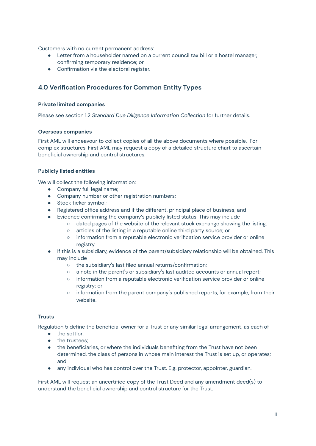Customers with no current permanent address:

- Letter from a householder named on a current council tax bill or a hostel manager, confirming temporary residence; or
- <span id="page-11-0"></span>● Confirmation via the electoral register.

# **4.0 Verification Procedures for Common Entity Types**

#### <span id="page-11-1"></span>**Private limited companies**

<span id="page-11-2"></span>Please see section 1.2 *Standard Due Diligence Information Collection* for further details.

#### **Overseas companies**

First AML will endeavour to collect copies of all the above documents where possible. For complex structures, First AML may request a copy of a detailed structure chart to ascertain beneficial ownership and control structures.

#### <span id="page-11-3"></span>**Publicly listed entities**

We will collect the following information:

- Company full legal name;
- Company number or other registration numbers;
- Stock ticker symbol;
- Registered office address and if the different, principal place of business; and
- Evidence confirming the company's publicly listed status. This may include
	- $\circ$  dated pages of the website of the relevant stock exchange showing the listing;
	- articles of the listing in a reputable online third party source; or
	- information from a reputable electronic verification service provider or online registry.
- If this is a subsidiary, evidence of the parent/subsidiary relationship will be obtained. This may include
	- the subsidiary's last filed annual returns/confirmation;
	- a note in the parent's or subsidiary's last audited accounts or annual report;
	- information from a reputable electronic verification service provider or online registry; or
	- information from the parent company's published reports, for example, from their website.

## <span id="page-11-4"></span>**Trusts**

Regulation 5 define the beneficial owner for a Trust or any similar legal arrangement, as each of

- the settlor;
- the trustees;
- the beneficiaries, or where the individuals benefiting from the Trust have not been determined, the class of persons in whose main interest the Trust is set up, or operates; and
- any individual who has control over the Trust. E.g. protector, appointer, guardian.

First AML will request an uncertified copy of the Trust Deed and any amendment deed(s) to understand the beneficial ownership and control structure for the Trust.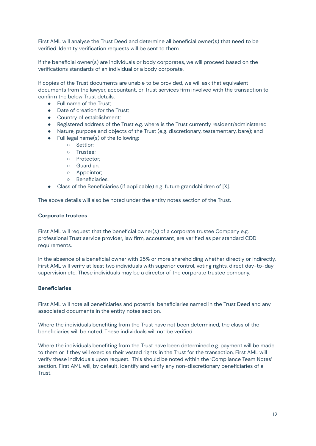First AML will analyse the Trust Deed and determine all beneficial owner(s) that need to be verified. Identity verification requests will be sent to them.

If the beneficial owner(s) are individuals or body corporates, we will proceed based on the verifications standards of an individual or a body corporate.

If copies of the Trust documents are unable to be provided, we will ask that equivalent documents from the lawyer, accountant, or Trust services firm involved with the transaction to confirm the below Trust details:

- Full name of the Trust;
- Date of creation for the Trust:
- Country of establishment;
- Registered address of the Trust e.g. where is the Trust currently resident/administered
- Nature, purpose and objects of the Trust (e.g. discretionary, testamentary, bare); and
- Full legal name(s) of the following:
	- Settlor;
	- Trustee;
	- Protector;
	- Guardian;
	- Appointor;
	- Beneficiaries.
- Class of the Beneficiaries (if applicable) e.g. future grandchildren of [X].

<span id="page-12-0"></span>The above details will also be noted under the entity notes section of the Trust.

## **Corporate trustees**

First AML will request that the beneficial owner(s) of a corporate trustee Company e.g. professional Trust service provider, law firm, accountant, are verified as per standard CDD requirements.

In the absence of a beneficial owner with 25% or more shareholding whether directly or indirectly, First AML will verify at least two individuals with superior control, voting rights, direct day-to-day supervision etc. These individuals may be a director of the corporate trustee company.

## <span id="page-12-1"></span>**Beneficiaries**

First AML will note all beneficiaries and potential beneficiaries named in the Trust Deed and any associated documents in the entity notes section.

Where the individuals benefiting from the Trust have not been determined, the class of the beneficiaries will be noted. These individuals will not be verified.

Where the individuals benefiting from the Trust have been determined e.g. payment will be made to them or if they will exercise their vested rights in the Trust for the transaction, First AML will verify these individuals upon request. This should be noted within the 'Compliance Team Notes' section. First AML will, by default, identify and verify any non-discretionary beneficiaries of a Trust.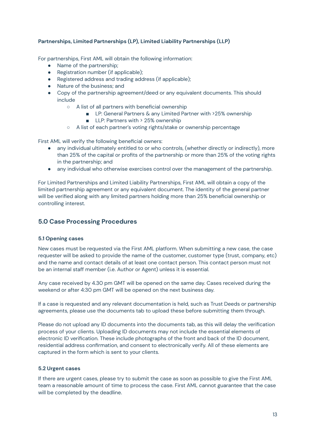## <span id="page-13-0"></span>**Partnerships, Limited Partnerships (LP), Limited Liability Partnerships (LLP)**

For partnerships, First AML will obtain the following information:

- Name of the partnership;
- Registration number (if applicable);
- Registered address and trading address (if applicable);
- Nature of the business; and
- Copy of the partnership agreement/deed or any equivalent documents. This should include
	- A list of all partners with beneficial ownership
		- LP: General Partners & any Limited Partner with >25% ownership
		- LLP: Partners with > 25% ownership
	- A list of each partner's voting rights/stake or ownership percentage

First AML will verify the following beneficial owners:

- any individual ultimately entitled to or who controls, (whether directly or indirectly), more than 25% of the capital or profits of the partnership or more than 25% of the voting rights in the partnership; and
- any individual who otherwise exercises control over the management of the partnership.

For Limited Partnerships and Limited Liability Partnerships, First AML will obtain a copy of the limited partnership agreement or any equivalent document. The identity of the general partner will be verified along with any limited partners holding more than 25% beneficial ownership or controlling interest.

## <span id="page-13-1"></span>**5.0 Case Processing Procedures**

#### <span id="page-13-2"></span>**5.1 Opening cases**

New cases must be requested via the First AML platform. When submitting a new case, the case requester will be asked to provide the name of the customer, customer type (trust, company, etc) and the name and contact details of at least one contact person. This contact person must not be an internal staff member (i.e. Author or Agent) unless it is essential.

Any case received by 4.30 pm GMT will be opened on the same day. Cases received during the weekend or after 4:30 pm GMT will be opened on the next business day.

If a case is requested and any relevant documentation is held, such as Trust Deeds or partnership agreements, please use the documents tab to upload these before submitting them through.

Please do not upload any ID documents into the documents tab, as this will delay the verification process of your clients. Uploading ID documents may not include the essential elements of electronic ID verification. These include photographs of the front and back of the ID document, residential address confirmation, and consent to electronically verify. All of these elements are captured in the form which is sent to your clients.

#### <span id="page-13-3"></span>**5.2 Urgent cases**

If there are urgent cases, please try to submit the case as soon as possible to give the First AML team a reasonable amount of time to process the case. First AML cannot guarantee that the case will be completed by the deadline.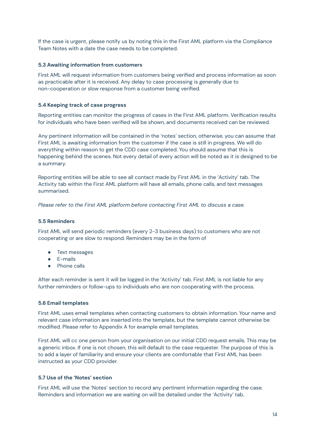If the case is urgent, please notify us by noting this in the First AML platform via the Compliance Team Notes with a date the case needs to be completed.

## <span id="page-14-0"></span>**5.3 Awaiting information from customers**

First AML will request information from customers being verified and process information as soon as practicable after it is received. Any delay to case processing is generally due to non-cooperation or slow response from a customer being verified.

#### <span id="page-14-1"></span>**5.4 Keeping track of case progress**

Reporting entities can monitor the progress of cases in the First AML platform. Verification results for individuals who have been verified will be shown, and documents received can be reviewed.

Any pertinent information will be contained in the 'notes' section, otherwise, you can assume that First AML is awaiting information from the customer if the case is still in progress. We will do everything within reason to get the CDD case completed. You should assume that this is happening behind the scenes. Not every detail of every action will be noted as it is designed to be a summary.

Reporting entities will be able to see all contact made by First AML in the 'Activity' tab. The Activity tab within the First AML platform will have all emails, phone calls, and text messages summarised.

<span id="page-14-2"></span>*Please refer to the First AML platform before contacting First AML to discuss a case.*

#### **5.5 Reminders**

First AML will send periodic reminders (every 2-3 business days) to customers who are not cooperating or are slow to respond. Reminders may be in the form of

- Text messages
- E-mails
- Phone calls

After each reminder is sent it will be logged in the 'Activity' tab. First AML is not liable for any further reminders or follow-ups to individuals who are non cooperating with the process.

#### <span id="page-14-3"></span>**5.6 Email templates**

First AML uses email templates when contacting customers to obtain information. Your name and relevant case information are inserted into the template, but the template cannot otherwise be modified. Please refer to Appendix A for example email templates.

First AML will cc one person from your organisation on our initial CDD request emails. This may be a generic inbox. If one is not chosen, this will default to the case requester. The purpose of this is to add a layer of familiarity and ensure your clients are comfortable that First AML has been instructed as your CDD provider.

#### <span id="page-14-4"></span>**5.7 Use of the 'Notes' section**

First AML will use the 'Notes' section to record any pertinent information regarding the case. Reminders and information we are waiting on will be detailed under the 'Activity' tab.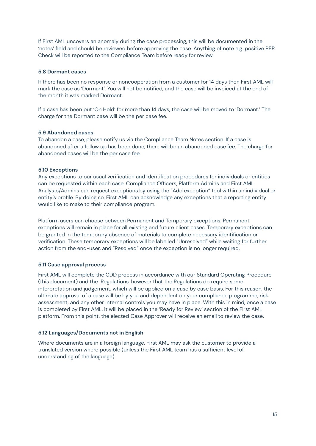If First AML uncovers an anomaly during the case processing, this will be documented in the 'notes' field and should be reviewed before approving the case. Anything of note e.g. positive PEP Check will be reported to the Compliance Team before ready for review.

## <span id="page-15-0"></span>**5.8 Dormant cases**

If there has been no response or noncooperation from a customer for 14 days then First AML will mark the case as 'Dormant'. You will not be notified, and the case will be invoiced at the end of the month it was marked Dormant.

If a case has been put 'On Hold' for more than 14 days, the case will be moved to 'Dormant.' The charge for the Dormant case will be the per case fee.

## **5.9 Abandoned cases**

<span id="page-15-1"></span>To abandon a case, please notify us via the Compliance Team Notes section. If a case is abandoned after a follow up has been done, there will be an abandoned case fee. The charge for abandoned cases will be the per case fee.

## **5.10 Exceptions**

Any exceptions to our usual verification and identification procedures for individuals or entities can be requested within each case. Compliance Officers, Platform Admins and First AML Analysts/Admins can request exceptions by using the "Add exception" tool within an individual or entity's profile. By doing so, First AML can acknowledge any exceptions that a reporting entity would like to make to their compliance program.

<span id="page-15-2"></span>Platform users can choose between Permanent and Temporary exceptions. Permanent exceptions will remain in place for all existing and future client cases. Temporary exceptions can be granted in the temporary absence of materials to complete necessary identification or verification. These temporary exceptions will be labelled "Unresolved" while waiting for further action from the end-user, and "Resolved" once the exception is no longer required.

## <span id="page-15-4"></span><span id="page-15-3"></span>**5.11 Case approval process**

First AML will complete the CDD process in accordance with our Standard Operating Procedure (this document) and the Regulations, however that the Regulations do require some interpretation and judgement, which will be applied on a case by case basis. For this reason, the ultimate approval of a case will be by you and dependent on your compliance programme, risk assessment, and any other internal controls you may have in place. With this in mind, once a case is completed by First AML, it will be placed in the 'Ready for Review' section of the First AML platform. From this point, the elected Case Approver will receive an email to review the case.

## <span id="page-15-5"></span>**5.12 Languages/Documents not in English**

Where documents are in a foreign language, First AML may ask the customer to provide a translated version where possible (unless the First AML team has a sufficient level of understanding of the language).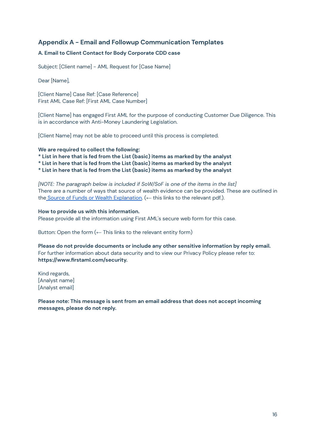# <span id="page-16-0"></span>**Appendix A - Email and Followup Communication Templates**

## **A. Email to Client Contact for Body Corporate CDD case**

Subject: [Client name] - AML Request for [Case Name]

Dear [Name],

[Client Name] Case Ref: [Case Reference] First AML Case Ref: [First AML Case Number]

[Client Name] has engaged First AML for the purpose of conducting Customer Due Diligence. This is in accordance with Anti-Money Laundering Legislation.

[Client Name] may not be able to proceed until this process is completed.

#### **We are required to collect the following:**

**\* List in here that is fed from the List (basic) items as marked by the analyst**

**\* List in here that is fed from the List (basic) items as marked by the analyst**

**\* List in here that is fed from the List (basic) items as marked by the analyst**

*[NOTE: The paragraph below is included if SoW/SoF is one of the items in the list]* There are a number of ways that source of wealth evidence can be provided. These are outlined in the Source of Funds or Wealth [Explanation.](https://drive.google.com/file/d/1BRrGYiqq9SxmA6xJfQLrUBu346I1h7Zx/view?usp=sharing) (← this links to the relevant pdf.).

#### **How to provide us with this information.**

Please provide all the information using First AML's secure web form for this case.

Button: Open the form  $($  – This links to the relevant entity form)

**Please do not provide documents or include any other sensitive information by reply email.** For further information about data security and to view our Privacy Policy please refer to: **https://www.firstaml.com/security.**

Kind regards, [Analyst name] [Analyst email]

**Please note: This message is sent from an email address that does not accept incoming messages, please do not reply.**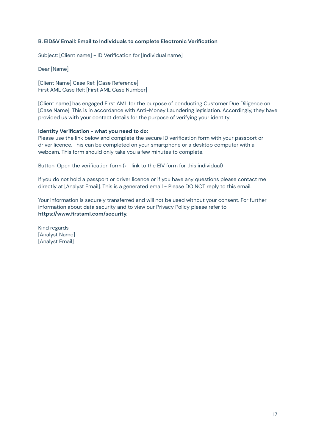## **B. EID&V Email: Email to Individuals to complete Electronic Verification**

Subject: [Client name] - ID Verification for [Individual name]

Dear [Name],

[Client Name] Case Ref: [Case Reference] First AML Case Ref: [First AML Case Number]

[Client name] has engaged First AML for the purpose of conducting Customer Due Diligence on [Case Name]. This is in accordance with Anti-Money Laundering legislation. Accordingly, they have provided us with your contact details for the purpose of verifying your identity.

## **Identity Verification - what you need to do:**

Please use the link below and complete the secure ID verification form with your passport or driver licence. This can be completed on your smartphone or a desktop computer with a webcam. This form should only take you a few minutes to complete.

Button: Open the verification form  $($   $\leftarrow$  link to the EIV form for this individual)

If you do not hold a passport or driver licence or if you have any questions please contact me directly at [Analyst Email]. This is a generated email - Please DO NOT reply to this email.

Your information is securely transferred and will not be used without your consent. For further information about data security and to view our Privacy Policy please refer to: **https://www.firstaml.com/security.**

Kind regards, [Analyst Name] [Analyst Email]